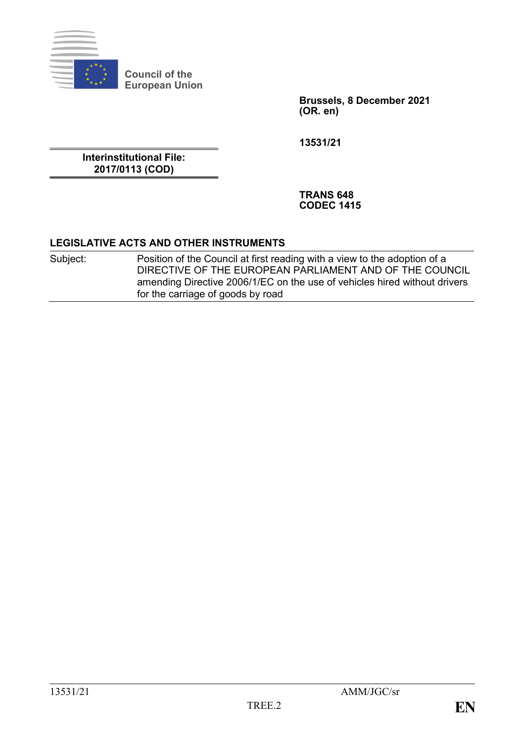

**Council of the European Union**

> **Brussels, 8 December 2021 (OR. en)**

**13531/21**

**Interinstitutional File: 2017/0113 (COD)**

> **TRANS 648 CODEC 1415**

#### **LEGISLATIVE ACTS AND OTHER INSTRUMENTS**

Subject: Position of the Council at first reading with a view to the adoption of a DIRECTIVE OF THE EUROPEAN PARLIAMENT AND OF THE COUNCIL amending Directive 2006/1/EC on the use of vehicles hired without drivers for the carriage of goods by road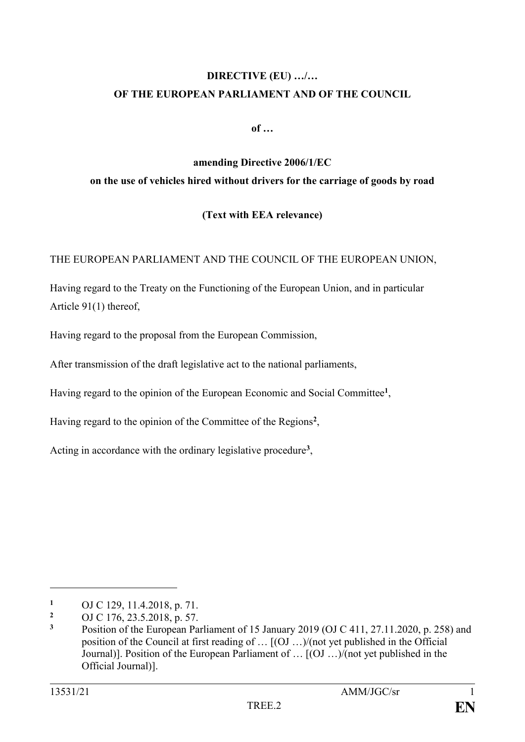# **DIRECTIVE (EU) …/… OF THE EUROPEAN PARLIAMENT AND OF THE COUNCIL**

**of …**

# **amending Directive 2006/1/EC on the use of vehicles hired without drivers for the carriage of goods by road**

## **(Text with EEA relevance)**

THE EUROPEAN PARLIAMENT AND THE COUNCIL OF THE EUROPEAN UNION,

Having regard to the Treaty on the Functioning of the European Union, and in particular Article 91(1) thereof,

Having regard to the proposal from the European Commission,

After transmission of the draft legislative act to the national parliaments,

Having regard to the opinion of the European Economic and Social Committee**<sup>1</sup>** ,

Having regard to the opinion of the Committee of the Regions**<sup>2</sup>** ,

Acting in accordance with the ordinary legislative procedure**<sup>3</sup>** ,

1

<sup>&</sup>lt;sup>1</sup> OJ C 129, 11.4.2018, p. 71.

**<sup>2</sup>** OJ C 176, 23.5.2018, p. 57.

**<sup>3</sup>** Position of the European Parliament of 15 January 2019 (OJ C 411, 27.11.2020, p. 258) and position of the Council at first reading of … [(OJ …)/(not yet published in the Official Journal)]. Position of the European Parliament of … [(OJ …)/(not yet published in the Official Journal)].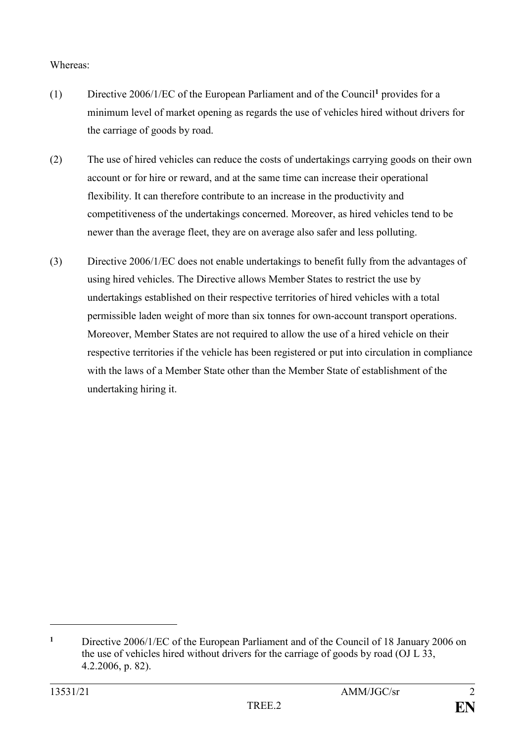### Whereas:

- (1) Directive 2006/1/EC of the European Parliament and of the Council**<sup>1</sup>** provides for a minimum level of market opening as regards the use of vehicles hired without drivers for the carriage of goods by road.
- (2) The use of hired vehicles can reduce the costs of undertakings carrying goods on their own account or for hire or reward, and at the same time can increase their operational flexibility. It can therefore contribute to an increase in the productivity and competitiveness of the undertakings concerned. Moreover, as hired vehicles tend to be newer than the average fleet, they are on average also safer and less polluting.
- (3) Directive 2006/1/EC does not enable undertakings to benefit fully from the advantages of using hired vehicles. The Directive allows Member States to restrict the use by undertakings established on their respective territories of hired vehicles with a total permissible laden weight of more than six tonnes for own-account transport operations. Moreover, Member States are not required to allow the use of a hired vehicle on their respective territories if the vehicle has been registered or put into circulation in compliance with the laws of a Member State other than the Member State of establishment of the undertaking hiring it.

1

**<sup>1</sup>** Directive 2006/1/EC of the European Parliament and of the Council of 18 January 2006 on the use of vehicles hired without drivers for the carriage of goods by road (OJ L 33, 4.2.2006, p. 82).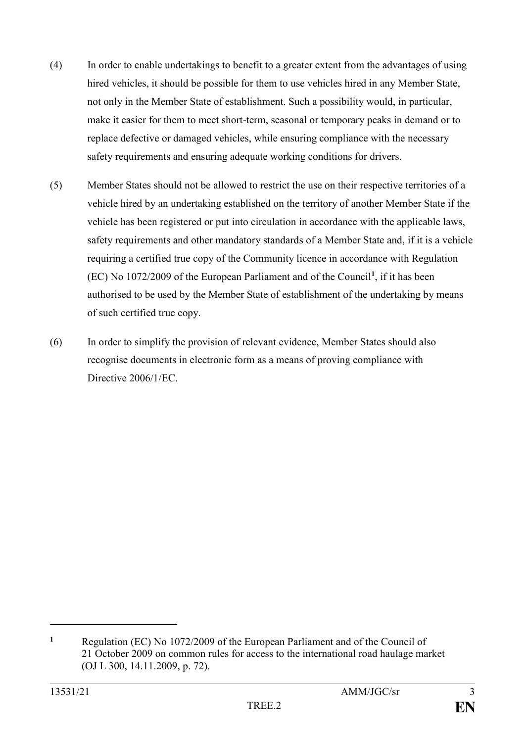- (4) In order to enable undertakings to benefit to a greater extent from the advantages of using hired vehicles, it should be possible for them to use vehicles hired in any Member State, not only in the Member State of establishment. Such a possibility would, in particular, make it easier for them to meet short-term, seasonal or temporary peaks in demand or to replace defective or damaged vehicles, while ensuring compliance with the necessary safety requirements and ensuring adequate working conditions for drivers.
- (5) Member States should not be allowed to restrict the use on their respective territories of a vehicle hired by an undertaking established on the territory of another Member State if the vehicle has been registered or put into circulation in accordance with the applicable laws, safety requirements and other mandatory standards of a Member State and, if it is a vehicle requiring a certified true copy of the Community licence in accordance with Regulation (EC) No 1072/2009 of the European Parliament and of the Council**<sup>1</sup>** , if it has been authorised to be used by the Member State of establishment of the undertaking by means of such certified true copy.
- (6) In order to simplify the provision of relevant evidence, Member States should also recognise documents in electronic form as a means of proving compliance with Directive 2006/1/EC.

1

**<sup>1</sup>** Regulation (EC) No 1072/2009 of the European Parliament and of the Council of 21 October 2009 on common rules for access to the international road haulage market (OJ L 300, 14.11.2009, p. 72).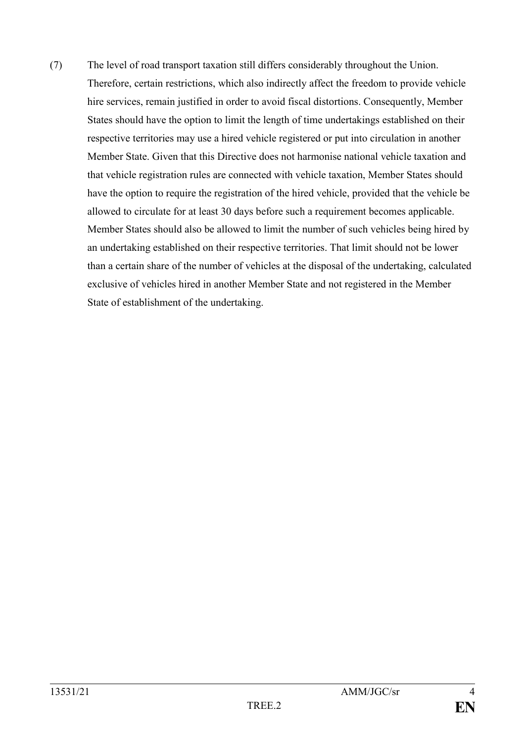(7) The level of road transport taxation still differs considerably throughout the Union. Therefore, certain restrictions, which also indirectly affect the freedom to provide vehicle hire services, remain justified in order to avoid fiscal distortions. Consequently, Member States should have the option to limit the length of time undertakings established on their respective territories may use a hired vehicle registered or put into circulation in another Member State. Given that this Directive does not harmonise national vehicle taxation and that vehicle registration rules are connected with vehicle taxation, Member States should have the option to require the registration of the hired vehicle, provided that the vehicle be allowed to circulate for at least 30 days before such a requirement becomes applicable. Member States should also be allowed to limit the number of such vehicles being hired by an undertaking established on their respective territories. That limit should not be lower than a certain share of the number of vehicles at the disposal of the undertaking, calculated exclusive of vehicles hired in another Member State and not registered in the Member State of establishment of the undertaking.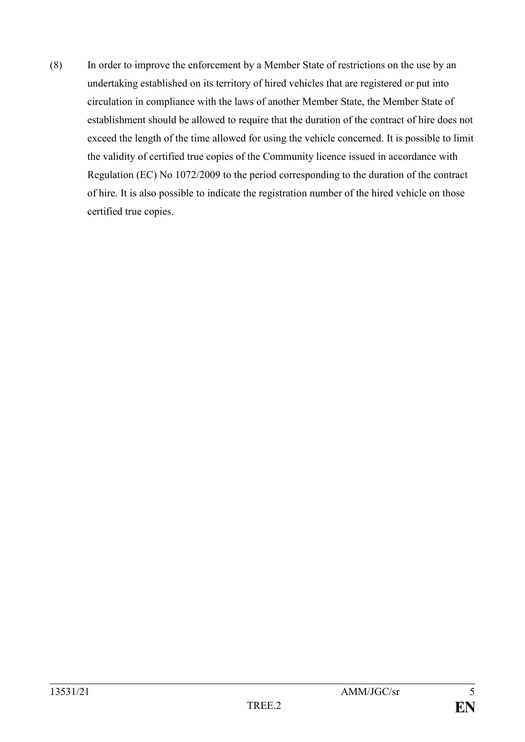(8) In order to improve the enforcement by a Member State of restrictions on the use by an undertaking established on its territory of hired vehicles that are registered or put into circulation in compliance with the laws of another Member State, the Member State of establishment should be allowed to require that the duration of the contract of hire does not exceed the length of the time allowed for using the vehicle concerned. It is possible to limit the validity of certified true copies of the Community licence issued in accordance with Regulation (EC) No 1072/2009 to the period corresponding to the duration of the contract of hire. It is also possible to indicate the registration number of the hired vehicle on those certified true copies.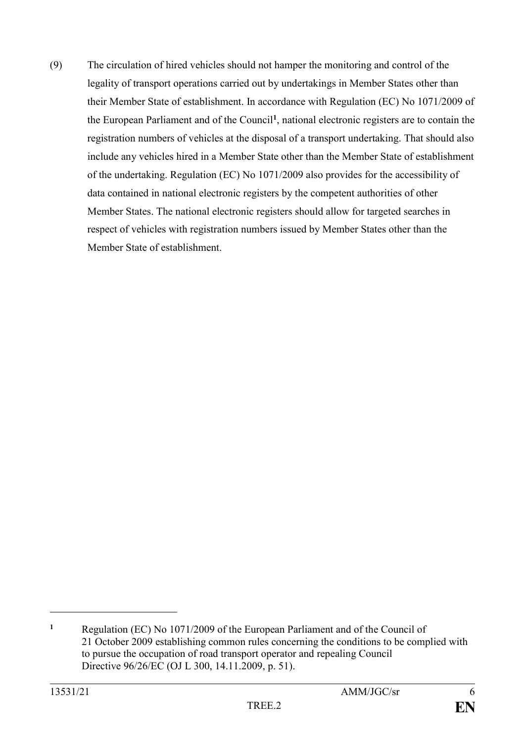(9) The circulation of hired vehicles should not hamper the monitoring and control of the legality of transport operations carried out by undertakings in Member States other than their Member State of establishment. In accordance with Regulation (EC) No 1071/2009 of the European Parliament and of the Council**<sup>1</sup>** , national electronic registers are to contain the registration numbers of vehicles at the disposal of a transport undertaking. That should also include any vehicles hired in a Member State other than the Member State of establishment of the undertaking. Regulation (EC) No 1071/2009 also provides for the accessibility of data contained in national electronic registers by the competent authorities of other Member States. The national electronic registers should allow for targeted searches in respect of vehicles with registration numbers issued by Member States other than the Member State of establishment.

<u>.</u>

**<sup>1</sup>** Regulation (EC) No 1071/2009 of the European Parliament and of the Council of 21 October 2009 establishing common rules concerning the conditions to be complied with to pursue the occupation of road transport operator and repealing Council Directive 96/26/EC (OJ L 300, 14.11.2009, p. 51).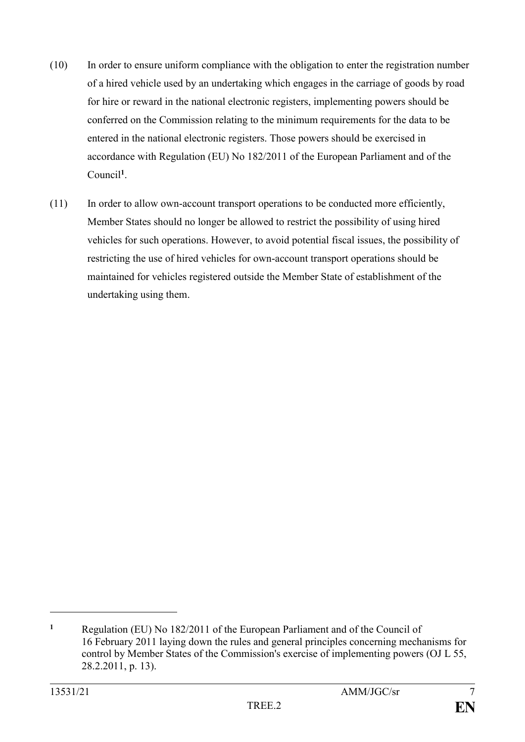- (10) In order to ensure uniform compliance with the obligation to enter the registration number of a hired vehicle used by an undertaking which engages in the carriage of goods by road for hire or reward in the national electronic registers, implementing powers should be conferred on the Commission relating to the minimum requirements for the data to be entered in the national electronic registers. Those powers should be exercised in accordance with Regulation (EU) No 182/2011 of the European Parliament and of the Council**<sup>1</sup>** .
- (11) In order to allow own-account transport operations to be conducted more efficiently, Member States should no longer be allowed to restrict the possibility of using hired vehicles for such operations. However, to avoid potential fiscal issues, the possibility of restricting the use of hired vehicles for own-account transport operations should be maintained for vehicles registered outside the Member State of establishment of the undertaking using them.

<u>.</u>

**<sup>1</sup>** Regulation (EU) No 182/2011 of the European Parliament and of the Council of 16 February 2011 laying down the rules and general principles concerning mechanisms for control by Member States of the Commission's exercise of implementing powers (OJ L 55, 28.2.2011, p. 13).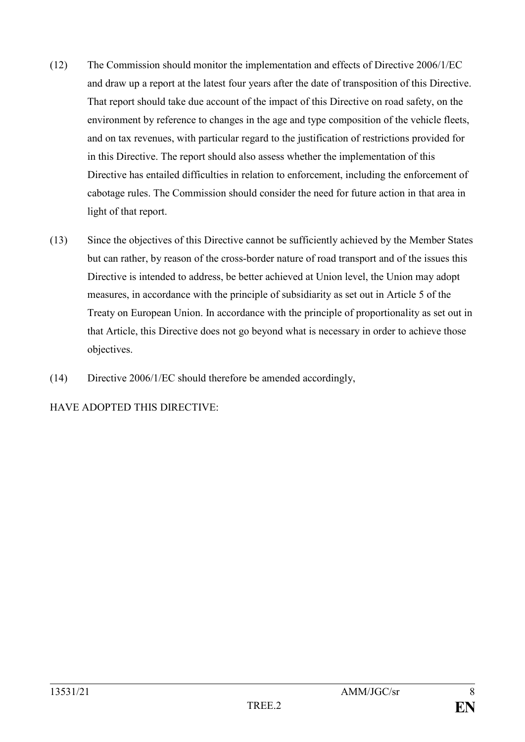- (12) The Commission should monitor the implementation and effects of Directive 2006/1/EC and draw up a report at the latest four years after the date of transposition of this Directive. That report should take due account of the impact of this Directive on road safety, on the environment by reference to changes in the age and type composition of the vehicle fleets, and on tax revenues, with particular regard to the justification of restrictions provided for in this Directive. The report should also assess whether the implementation of this Directive has entailed difficulties in relation to enforcement, including the enforcement of cabotage rules. The Commission should consider the need for future action in that area in light of that report.
- (13) Since the objectives of this Directive cannot be sufficiently achieved by the Member States but can rather, by reason of the cross-border nature of road transport and of the issues this Directive is intended to address, be better achieved at Union level, the Union may adopt measures, in accordance with the principle of subsidiarity as set out in Article 5 of the Treaty on European Union. In accordance with the principle of proportionality as set out in that Article, this Directive does not go beyond what is necessary in order to achieve those objectives.
- (14) Directive 2006/1/EC should therefore be amended accordingly,

## HAVE ADOPTED THIS DIRECTIVE: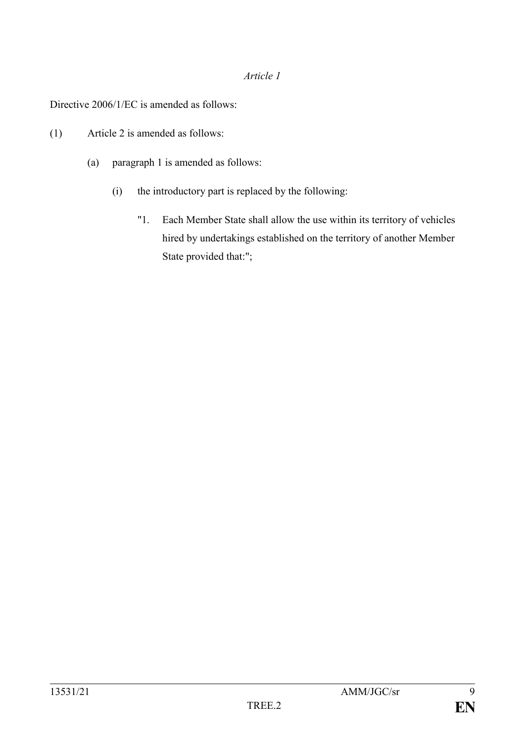#### *Article 1*

Directive 2006/1/EC is amended as follows:

- (1) Article 2 is amended as follows:
	- (a) paragraph 1 is amended as follows:
		- (i) the introductory part is replaced by the following:
			- "1. Each Member State shall allow the use within its territory of vehicles hired by undertakings established on the territory of another Member State provided that:";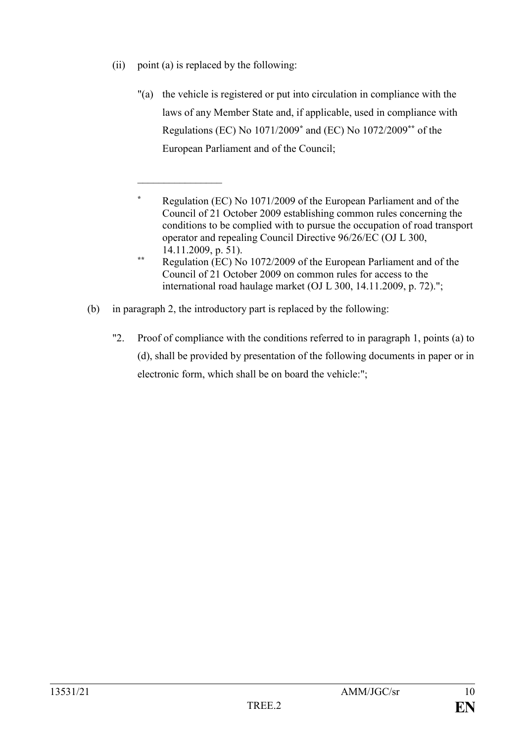(ii) point (a) is replaced by the following:

 $\frac{1}{2}$ 

- "(a) the vehicle is registered or put into circulation in compliance with the laws of any Member State and, if applicable, used in compliance with Regulations (EC) No 1071/2009**\*** and (EC) No 1072/2009**\*\*** of the European Parliament and of the Council;
- **\*** Regulation (EC) No 1071/2009 of the European Parliament and of the Council of 21 October 2009 establishing common rules concerning the conditions to be complied with to pursue the occupation of road transport operator and repealing Council Directive 96/26/EC (OJ L 300, 14.11.2009, p. 51).
- **\*\*** Regulation (EC) No 1072/2009 of the European Parliament and of the Council of 21 October 2009 on common rules for access to the international road haulage market (OJ L 300, 14.11.2009, p. 72).";
- (b) in paragraph 2, the introductory part is replaced by the following:
	- "2. Proof of compliance with the conditions referred to in paragraph 1, points (a) to (d), shall be provided by presentation of the following documents in paper or in electronic form, which shall be on board the vehicle:";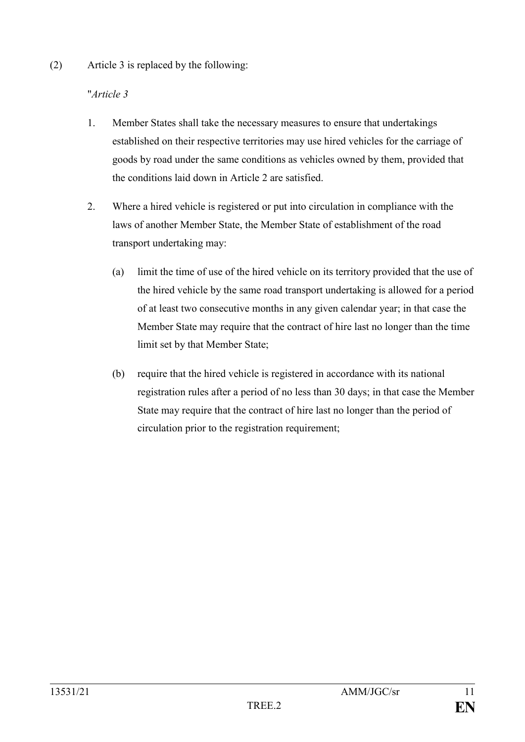(2) Article 3 is replaced by the following:

# "*Article 3*

- 1. Member States shall take the necessary measures to ensure that undertakings established on their respective territories may use hired vehicles for the carriage of goods by road under the same conditions as vehicles owned by them, provided that the conditions laid down in Article 2 are satisfied.
- 2. Where a hired vehicle is registered or put into circulation in compliance with the laws of another Member State, the Member State of establishment of the road transport undertaking may:
	- (a) limit the time of use of the hired vehicle on its territory provided that the use of the hired vehicle by the same road transport undertaking is allowed for a period of at least two consecutive months in any given calendar year; in that case the Member State may require that the contract of hire last no longer than the time limit set by that Member State;
	- (b) require that the hired vehicle is registered in accordance with its national registration rules after a period of no less than 30 days; in that case the Member State may require that the contract of hire last no longer than the period of circulation prior to the registration requirement;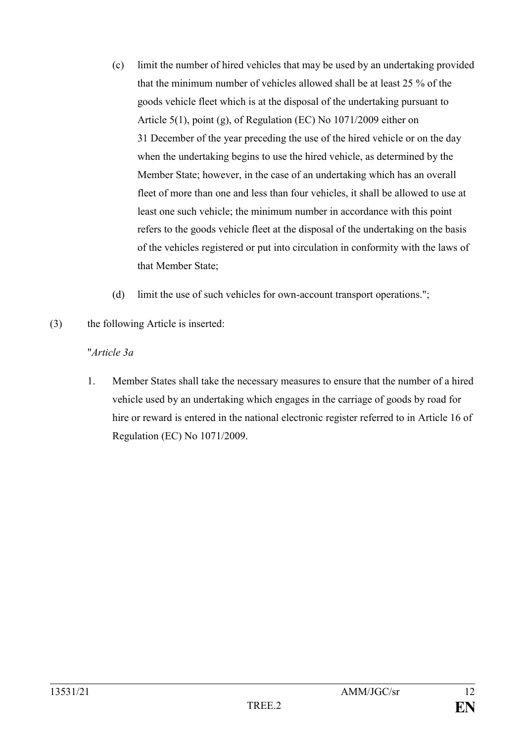- (c) limit the number of hired vehicles that may be used by an undertaking provided that the minimum number of vehicles allowed shall be at least 25 % of the goods vehicle fleet which is at the disposal of the undertaking pursuant to Article 5(1), point (g), of Regulation (EC) No 1071/2009 either on 31 December of the year preceding the use of the hired vehicle or on the day when the undertaking begins to use the hired vehicle, as determined by the Member State; however, in the case of an undertaking which has an overall fleet of more than one and less than four vehicles, it shall be allowed to use at least one such vehicle; the minimum number in accordance with this point refers to the goods vehicle fleet at the disposal of the undertaking on the basis of the vehicles registered or put into circulation in conformity with the laws of that Member State;
- (d) limit the use of such vehicles for own-account transport operations.";
- (3) the following Article is inserted:

## "*Article 3a*

1. Member States shall take the necessary measures to ensure that the number of a hired vehicle used by an undertaking which engages in the carriage of goods by road for hire or reward is entered in the national electronic register referred to in Article 16 of Regulation (EC) No 1071/2009.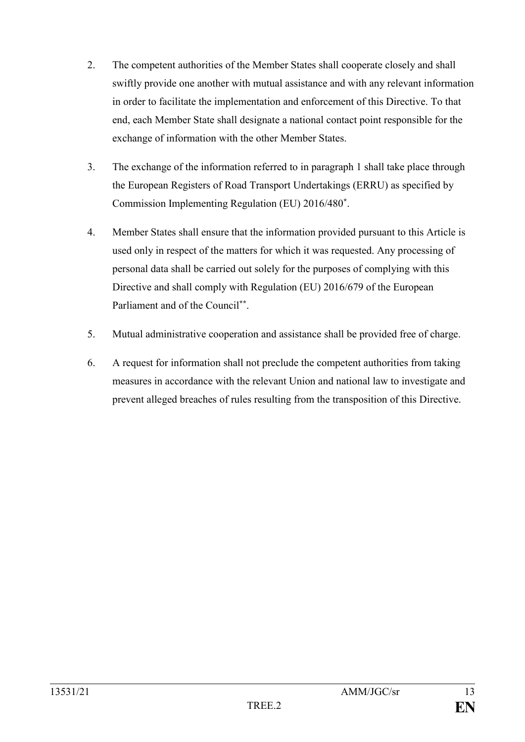- 2. The competent authorities of the Member States shall cooperate closely and shall swiftly provide one another with mutual assistance and with any relevant information in order to facilitate the implementation and enforcement of this Directive. To that end, each Member State shall designate a national contact point responsible for the exchange of information with the other Member States.
- 3. The exchange of the information referred to in paragraph 1 shall take place through the European Registers of Road Transport Undertakings (ERRU) as specified by Commission Implementing Regulation (EU) 2016/480**\*** .
- 4. Member States shall ensure that the information provided pursuant to this Article is used only in respect of the matters for which it was requested. Any processing of personal data shall be carried out solely for the purposes of complying with this Directive and shall comply with Regulation (EU) 2016/679 of the European Parliament and of the Council**\*\*** .
- 5. Mutual administrative cooperation and assistance shall be provided free of charge.
- 6. A request for information shall not preclude the competent authorities from taking measures in accordance with the relevant Union and national law to investigate and prevent alleged breaches of rules resulting from the transposition of this Directive.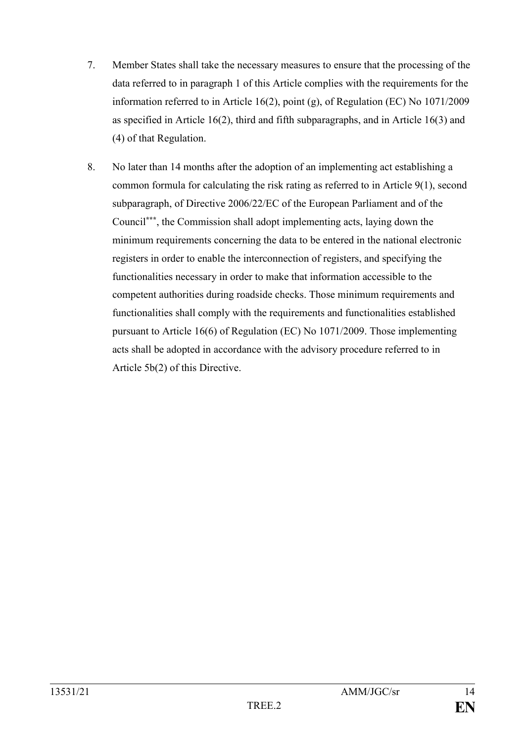- 7. Member States shall take the necessary measures to ensure that the processing of the data referred to in paragraph 1 of this Article complies with the requirements for the information referred to in Article 16(2), point (g), of Regulation (EC) No 1071/2009 as specified in Article 16(2), third and fifth subparagraphs, and in Article 16(3) and (4) of that Regulation.
- 8. No later than 14 months after the adoption of an implementing act establishing a common formula for calculating the risk rating as referred to in Article 9(1), second subparagraph, of Directive 2006/22/EC of the European Parliament and of the Council**\*\*\***, the Commission shall adopt implementing acts, laying down the minimum requirements concerning the data to be entered in the national electronic registers in order to enable the interconnection of registers, and specifying the functionalities necessary in order to make that information accessible to the competent authorities during roadside checks. Those minimum requirements and functionalities shall comply with the requirements and functionalities established pursuant to Article 16(6) of Regulation (EC) No 1071/2009. Those implementing acts shall be adopted in accordance with the advisory procedure referred to in Article 5b(2) of this Directive.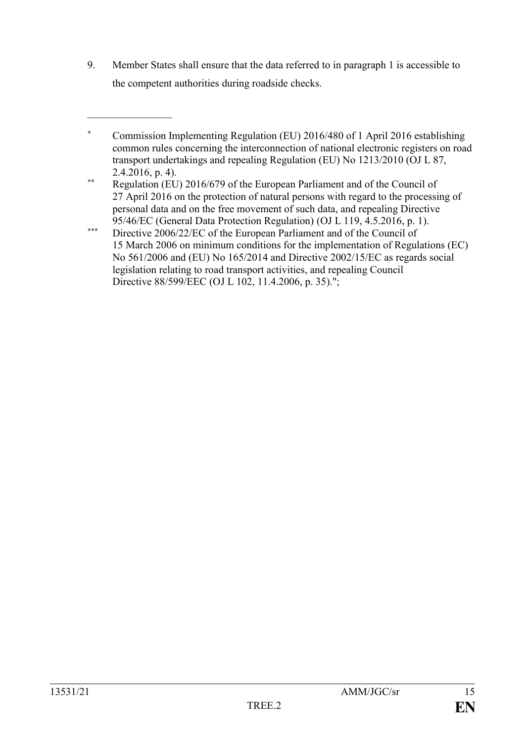9. Member States shall ensure that the data referred to in paragraph 1 is accessible to the competent authorities during roadside checks.

 $\frac{1}{2}$ 

**<sup>\*</sup>** Commission Implementing Regulation (EU) 2016/480 of 1 April 2016 establishing common rules concerning the interconnection of national electronic registers on road transport undertakings and repealing Regulation (EU) No 1213/2010 (OJ L 87, 2.4.2016, p. 4).

**<sup>\*\*</sup>** Regulation (EU) 2016/679 of the European Parliament and of the Council of 27 April 2016 on the protection of natural persons with regard to the processing of personal data and on the free movement of such data, and repealing Directive 95/46/EC (General Data Protection Regulation) (OJ L 119, 4.5.2016, p. 1).

**<sup>\*\*\*</sup>** Directive 2006/22/EC of the European Parliament and of the Council of 15 March 2006 on minimum conditions for the implementation of Regulations (EC) No 561/2006 and (EU) No 165/2014 and Directive 2002/15/EC as regards social legislation relating to road transport activities, and repealing Council Directive 88/599/EEC (OJ L 102, 11.4.2006, p. 35).";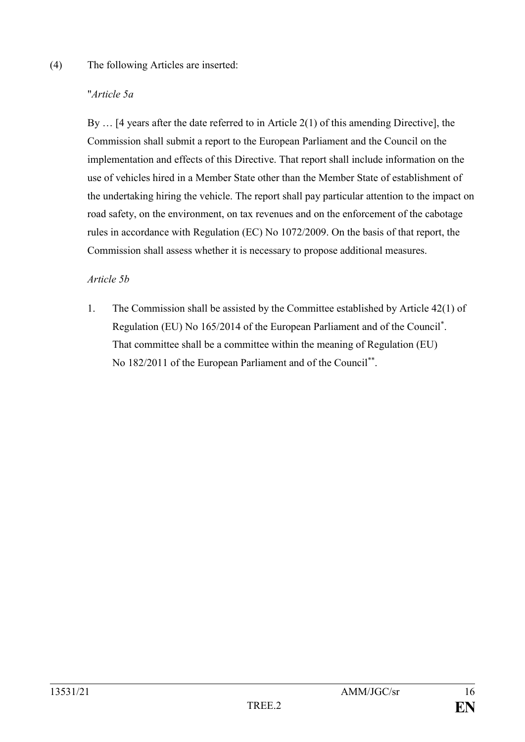### (4) The following Articles are inserted:

## "*Article 5a*

By … [4 years after the date referred to in Article 2(1) of this amending Directive], the Commission shall submit a report to the European Parliament and the Council on the implementation and effects of this Directive. That report shall include information on the use of vehicles hired in a Member State other than the Member State of establishment of the undertaking hiring the vehicle. The report shall pay particular attention to the impact on road safety, on the environment, on tax revenues and on the enforcement of the cabotage rules in accordance with Regulation (EC) No 1072/2009. On the basis of that report, the Commission shall assess whether it is necessary to propose additional measures.

## *Article 5b*

1. The Commission shall be assisted by the Committee established by Article 42(1) of Regulation (EU) No 165/2014 of the European Parliament and of the Council\* . That committee shall be a committee within the meaning of Regulation (EU) No 182/2011 of the European Parliament and of the Council<sup>\*\*</sup>.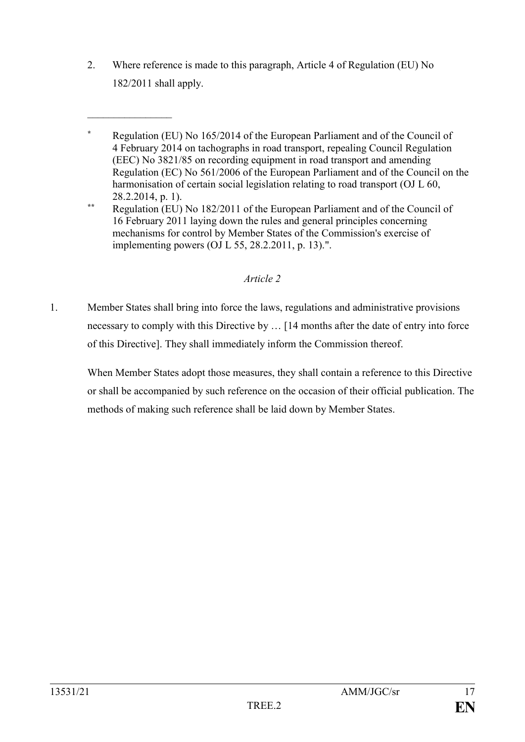2. Where reference is made to this paragraph, Article 4 of Regulation (EU) No 182/2011 shall apply.

 $\frac{1}{2}$ 

**\*** Regulation (EU) No 165/2014 of the European Parliament and of the Council of 4 February 2014 on tachographs in road transport, repealing Council Regulation (EEC) No 3821/85 on recording equipment in road transport and amending Regulation (EC) No 561/2006 of the European Parliament and of the Council on the harmonisation of certain social legislation relating to road transport (OJ L 60, 28.2.2014, p. 1).

**\*\*** Regulation (EU) No 182/2011 of the European Parliament and of the Council of 16 February 2011 laying down the rules and general principles concerning mechanisms for control by Member States of the Commission's exercise of implementing powers (OJ L 55, 28.2.2011, p. 13).".

## *Article 2*

1. Member States shall bring into force the laws, regulations and administrative provisions necessary to comply with this Directive by … [14 months after the date of entry into force of this Directive]. They shall immediately inform the Commission thereof.

When Member States adopt those measures, they shall contain a reference to this Directive or shall be accompanied by such reference on the occasion of their official publication. The methods of making such reference shall be laid down by Member States.